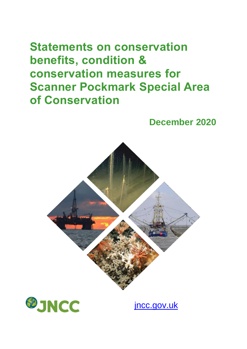# **Statements on conservation benefits, condition & conservation measures for Scanner Pockmark Special Area of Conservation**

## **December 2020**





[jncc.gov.uk](http://jncc.gov.uk/)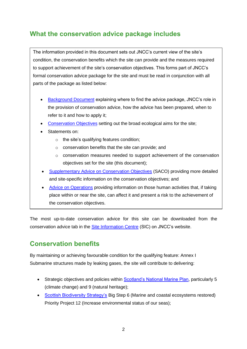#### **What the conservation advice package includes**

The information provided in this document sets out JNCC's current view of the site's condition, the conservation benefits which the site can provide and the measures required to support achievement of the site's conservation objectives. This forms part of JNCC's formal conservation advice package for the site and must be read in conjunction with all parts of the package as listed below:

- [Background](http://jncc.defra.gov.uk/pdf/ScannerPockmark_Background_V1.0.pdf) Document explaining where to find the advice package, JNCC's role in the provision of conservation advice, how the advice has been prepared, when to refer to it and how to apply it;
- [Conservation Objectives](http://jncc.defra.gov.uk/pdf/ScannerPockmark_ConservationObjectives_V1.0.pdf) setting out the broad ecological aims for the site;
- Statements on:
	- o the site's qualifying features condition;
	- o conservation benefits that the site can provide; and
	- o conservation measures needed to support achievement of the conservation objectives set for the site (this document);
- [Supplementary Advice on Conservation Objectives](http://jncc.defra.gov.uk/pdf/ScannerPockmark_SACO_V1.0.pdf) (SACO) providing more detailed and site-specific information on the conservation objectives; and
- [Advice on Operations](http://jncc.defra.gov.uk/docs/ScannerPockmark_AdviceOnOperations_V1.0.xlsx) providing information on those human activities that, if taking place within or near the site, can affect it and present a risk to the achievement of the conservation objectives.

The most up-to-date conservation advice for this site can be downloaded from the conservation advice tab in the [Site Information Centre](http://jncc.defra.gov.uk/page-6541) (SIC) on JNCC's website.

#### **Conservation benefits**

By maintaining or achieving favourable condition for the qualifying feature: Annex I Submarine structures made by leaking gases, the site will contribute to delivering:

- Strategic objectives and policies within [Scotland's National Marine Plan,](http://www.gov.scot/Publications/2015/03/6517) particularly 5 (climate change) and 9 (natural heritage);
- [Scottish Biodiversity Strategy's](http://www.gov.scot/Topics/Environment/Wildlife-Habitats/biodiversity/BiodiversityStrategy) Big Step 6 (Marine and coastal ecosystems restored) Priority Project 12 (Increase environmental status of our seas);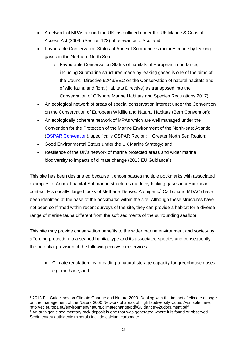- A network of MPAs around the UK, as outlined under the UK Marine & Coastal Access Act (2009) (Section 123) of relevance to Scotland;
- Favourable Conservation Status of Annex I Submarine structures made by leaking gases in the Northern North Sea.
	- o Favourable Conservation Status of habitats of European importance, including Submarine structures made by leaking gases is one of the aims of the Council Directive 92/43/EEC on the Conservation of natural habitats and of wild fauna and flora (Habitats Directive) as transposed into the Conservation of Offshore Marine Habitats and Species Regulations 2017);
- An ecological network of areas of special conservation interest under the Convention on the Conservation of European Wildlife and Natural Habitats (Bern Convention);
- An ecologically coherent network of MPAs which are well managed under the Convention for the Protection of the Marine Environment of the North-east Atlantic [\(OSPAR Convention\)](http://www.google.co.uk/url?sa=t&rct=j&q=&esrc=s&source=web&cd=1&cad=rja&uact=8&ved=0ahUKEwiH_6HQ9_nWAhWPF8AKHZWEC1EQFggmMAA&url=http%3A%2F%2Fjncc.defra.gov.uk%2Fpdf%2F06-03e_Guidance%2520ecol%2520coherence%2520MPA%2520network.pdf&usg=AOvVaw1ezMWbIWOM2xsUvBzKwao6), specifically OSPAR Region: II Greater North Sea Region;
- Good Environmental Status under the UK Marine Strategy; and
- Resilience of the UK's network of marine protected areas and wider marine biodiversity to impacts of climate change (2013 EU Guidance<sup>1</sup>).

This site has been designated because it encompasses multiple pockmarks with associated examples of Annex I habitat Submarine structures made by leaking gases in a European context. Historically, large blocks of Methane-Derived Authigenic<sup>2</sup> Carbonate (MDAC) have been identified at the base of the pockmarks within the site. Although these structures have not been confirmed within recent surveys of the site, they can provide a habitat for a diverse range of marine fauna different from the soft sediments of the surrounding seafloor.

This site may provide conservation benefits to the wider marine environment and society by affording protection to a seabed habitat type and its associated species and consequently the potential provision of the following ecosystem services:

• Climate regulation: by providing a natural storage capacity for greenhouse gases e.g. methane; and

<sup>1</sup> 2013 EU Guidelines on Climate Change and Natura 2000. Dealing with the impact of climate change on the management of the Natura 2000 Network of areas of high biodiversity value. Available here: http://ec.europa.eu/environment/nature/climatechange/pdf/Guidance%20document.pdf <sup>2</sup> An authigenic sedimentary rock deposit is one that was generated where it is found or observed. Sedimentary authigenic minerals include calcium carbonate.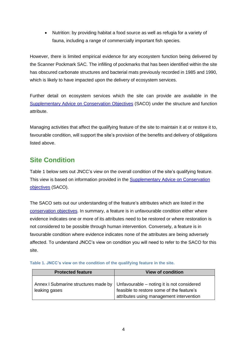• Nutrition: by providing habitat a food source as well as refugia for a variety of fauna, including a range of commercially important fish species.

However, there is limited empirical evidence for any ecosystem function being delivered by the Scanner Pockmark SAC. The infilling of pockmarks that has been identified within the site has obscured carbonate structures and bacterial mats previously recorded in 1985 and 1990, which is likely to have impacted upon the delivery of ecosystem services.

Further detail on ecosystem services which the site can provide are available in the [Supplementary Advice on Conservation](http://jncc.defra.gov.uk/pdf/ScannerPockmark_SACO_V1.0.pdf) Objectives (SACO) under the structure and function attribute.

Managing activities that affect the qualifying feature of the site to maintain it at or restore it to, favourable condition, will support the site's provision of the benefits and delivery of obligations listed above.

### **Site Condition**

Table 1 below sets out JNCC's view on the overall condition of the site's qualifying feature. This view is based on information provided in the [Supplementary Advice on Conservation](http://jncc.defra.gov.uk/pdf/ScannerPockmark_SACO_V1.0.pdf)  [objectives](http://jncc.defra.gov.uk/pdf/ScannerPockmark_SACO_V1.0.pdf) (SACO).

The SACO sets out our understanding of the feature's attributes which are listed in the [conservation objectives.](http://jncc.defra.gov.uk/pdf/ScannerPockmark_ConservationObjectives_V1.0.pdf) In summary, a feature is in unfavourable condition either where evidence indicates one or more of its attributes need to be restored or where restoration is not considered to be possible through human intervention. Conversely, a feature is in favourable condition where evidence indicates none of the attributes are being adversely affected. To understand JNCC's view on condition you will need to refer to the SACO for this site.

| <b>Protected feature</b> | <b>View of condition</b>                                                                                                                                                   |
|--------------------------|----------------------------------------------------------------------------------------------------------------------------------------------------------------------------|
| leaking gases            | Annex I Submarine structures made by   Unfavourable – noting it is not considered<br>feasible to restore some of the feature's<br>attributes using management intervention |